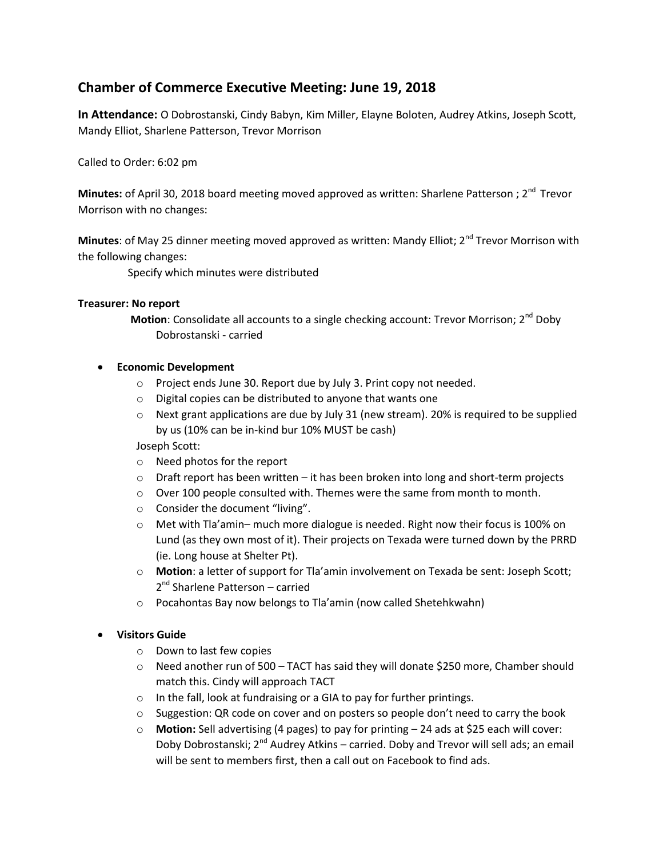# **Chamber of Commerce Executive Meeting: June 19, 2018**

**In Attendance:** O Dobrostanski, Cindy Babyn, Kim Miller, Elayne Boloten, Audrey Atkins, Joseph Scott, Mandy Elliot, Sharlene Patterson, Trevor Morrison

Called to Order: 6:02 pm

**Minutes:** of April 30, 2018 board meeting moved approved as written: Sharlene Patterson ; 2<sup>nd</sup> Trevor Morrison with no changes:

**Minutes**: of May 25 dinner meeting moved approved as written: Mandy Elliot; 2<sup>nd</sup> Trevor Morrison with the following changes:

Specify which minutes were distributed

#### **Treasurer: No report**

Motion: Consolidate all accounts to a single checking account: Trevor Morrison; 2<sup>nd</sup> Doby Dobrostanski - carried

# **Economic Development**

- o Project ends June 30. Report due by July 3. Print copy not needed.
- o Digital copies can be distributed to anyone that wants one
- $\circ$  Next grant applications are due by July 31 (new stream). 20% is required to be supplied by us (10% can be in-kind bur 10% MUST be cash)

Joseph Scott:

- o Need photos for the report
- $\circ$  Draft report has been written it has been broken into long and short-term projects
- o Over 100 people consulted with. Themes were the same from month to month.
- o Consider the document "living".
- o Met with Tla'amin– much more dialogue is needed. Right now their focus is 100% on Lund (as they own most of it). Their projects on Texada were turned down by the PRRD (ie. Long house at Shelter Pt).
- o **Motion**: a letter of support for Tla'amin involvement on Texada be sent: Joseph Scott; 2<sup>nd</sup> Sharlene Patterson – carried
- o Pocahontas Bay now belongs to Tla'amin (now called Shetehkwahn)

# **Visitors Guide**

- o Down to last few copies
- o Need another run of 500 TACT has said they will donate \$250 more, Chamber should match this. Cindy will approach TACT
- o In the fall, look at fundraising or a GIA to pay for further printings.
- $\circ$  Suggestion: QR code on cover and on posters so people don't need to carry the book
- o **Motion:** Sell advertising (4 pages) to pay for printing 24 ads at \$25 each will cover: Doby Dobrostanski;  $2^{nd}$  Audrey Atkins – carried. Doby and Trevor will sell ads; an email will be sent to members first, then a call out on Facebook to find ads.